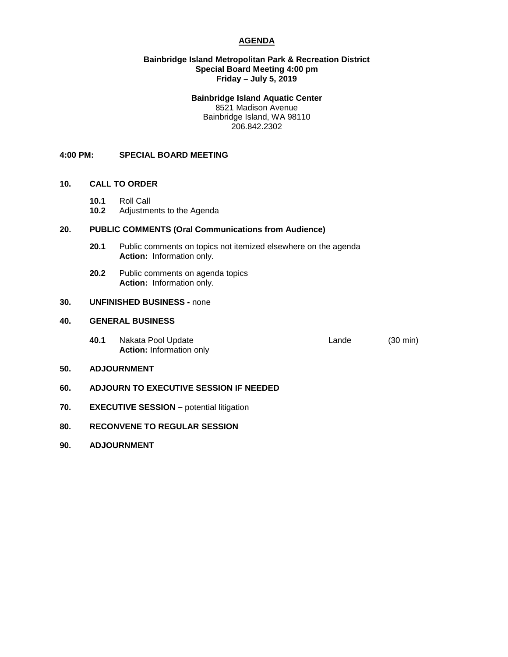# **AGENDA**

### **Bainbridge Island Metropolitan Park & Recreation District Special Board Meeting 4:00 pm Friday – July 5, 2019**

## **Bainbridge Island Aquatic Center**

8521 Madison Avenue Bainbridge Island, WA 98110 206.842.2302

## **4:00 PM: SPECIAL BOARD MEETING**

# **10. CALL TO ORDER**

- **10.1** Roll Call
- **10.2** Adjustments to the Agenda

## **20. PUBLIC COMMENTS (Oral Communications from Audience)**

- **20.1** Public comments on topics not itemized elsewhere on the agenda **Action:** Information only.
- **20.2** Public comments on agenda topics **Action:** Information only.

# **30. UNFINISHED BUSINESS -** none

## **40. GENERAL BUSINESS**

**40.1** Nakata Pool Update **Lande** Lande (30 min) **Action:** Information only

#### **50. ADJOURNMENT**

- **60. ADJOURN TO EXECUTIVE SESSION IF NEEDED**
- **70. EXECUTIVE SESSION potential litigation**
- **80. RECONVENE TO REGULAR SESSION**
- **90. ADJOURNMENT**